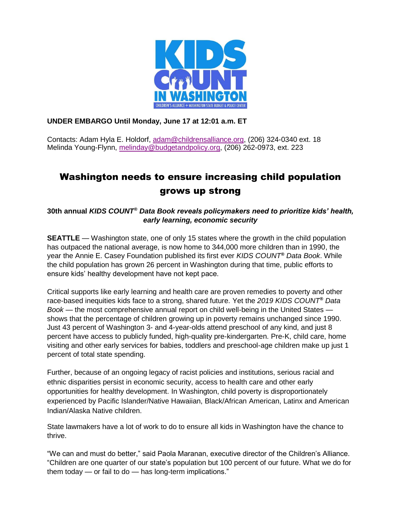

## **UNDER EMBARGO Until Monday, June 17 at 12:01 a.m. ET**

Contacts: Adam Hyla E. Holdorf, [adam@childrensalliance.org,](mailto:adam@childrensalliance.org) (206) 324-0340 ext. 18 Melinda Young-Flynn, [melinday@budgetandpolicy.org,](mailto:melinday@budgetandpolicy.org) (206) 262-0973, ext. 223

# Washington needs to ensure increasing child population grows up strong

**30th annual** *KIDS COUNT® Data Book reveals policymakers need to prioritize kids' health, early learning, economic security*

**SEATTLE** — Washington state, one of only 15 states where the growth in the child population has outpaced the national average, is now home to 344,000 more children than in 1990, the year the Annie E. Casey Foundation published its first ever *KIDS COUNT® Data Book*. While the child population has grown 26 percent in Washington during that time, public efforts to ensure kids' healthy development have not kept pace.

Critical supports like early learning and health care are proven remedies to poverty and other race-based inequities kids face to a strong, shared future. Yet the *2019 KIDS COUNT® Data Book* — the most comprehensive annual report on child well-being in the United States shows that the percentage of children growing up in poverty remains unchanged since 1990. Just 43 percent of Washington 3- and 4-year-olds attend preschool of any kind, and just 8 percent have access to publicly funded, high-quality pre-kindergarten. Pre-K, child care, home visiting and other early services for babies, toddlers and preschool-age children make up just 1 percent of total state spending.

Further, because of an ongoing legacy of racist policies and institutions, serious racial and ethnic disparities persist in economic security, access to health care and other early opportunities for healthy development. In Washington, child poverty is disproportionately experienced by Pacific Islander/Native Hawaiian, Black/African American, Latinx and American Indian/Alaska Native children.

State lawmakers have a lot of work to do to ensure all kids in Washington have the chance to thrive.

"We can and must do better," said Paola Maranan, executive director of the Children's Alliance. "Children are one quarter of our state's population but 100 percent of our future. What we do for them today — or fail to do — has long-term implications."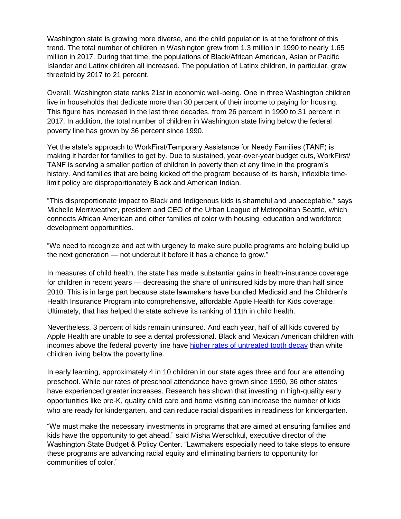Washington state is growing more diverse, and the child population is at the forefront of this trend. The total number of children in Washington grew from 1.3 million in 1990 to nearly 1.65 million in 2017. During that time, the populations of Black/African American, Asian or Pacific Islander and Latinx children all increased. The population of Latinx children, in particular, grew threefold by 2017 to 21 percent.

Overall, Washington state ranks 21st in economic well-being. One in three Washington children live in households that dedicate more than 30 percent of their income to paying for housing. This figure has increased in the last three decades, from 26 percent in 1990 to 31 percent in 2017. In addition, the total number of children in Washington state living below the federal poverty line has grown by 36 percent since 1990.

Yet the state's approach to WorkFirst/Temporary Assistance for Needy Families (TANF) is making it harder for families to get by. Due to sustained, year-over-year budget cuts, WorkFirst/ TANF is serving a smaller portion of children in poverty than at any time in the program's history. And families that are being kicked off the program because of its harsh, inflexible timelimit policy are disproportionately Black and American Indian.

"This disproportionate impact to Black and Indigenous kids is shameful and unacceptable," says Michelle Merriweather, president and CEO of the Urban League of Metropolitan Seattle, which connects African American and other families of color with housing, education and workforce development opportunities.

"We need to recognize and act with urgency to make sure public programs are helping build up the next generation — not undercut it before it has a chance to grow."

In measures of child health, the state has made substantial gains in health-insurance coverage for children in recent years — decreasing the share of uninsured kids by more than half since 2010. This is in large part because state lawmakers have bundled Medicaid and the Children's Health Insurance Program into comprehensive, affordable Apple Health for Kids coverage. Ultimately, that has helped the state achieve its ranking of 11th in child health.

Nevertheless, 3 percent of kids remain uninsured. And each year, half of all kids covered by Apple Health are unable to see a dental professional. Black and Mexican American children with incomes above the federal poverty line have [higher rates of untreated tooth decay](http://childrensalliance.org/resource/oral-health-out-reach) than white children living below the poverty line.

In early learning, approximately 4 in 10 children in our state ages three and four are attending preschool. While our rates of preschool attendance have grown since 1990, 36 other states have experienced greater increases. Research has shown that investing in high-quality early opportunities like pre-K, quality child care and home visiting can increase the number of kids who are ready for kindergarten, and can reduce racial disparities in readiness for kindergarten.

"We must make the necessary investments in programs that are aimed at ensuring families and kids have the opportunity to get ahead," said Misha Werschkul, executive director of the Washington State Budget & Policy Center. "Lawmakers especially need to take steps to ensure these programs are advancing racial equity and eliminating barriers to opportunity for communities of color."